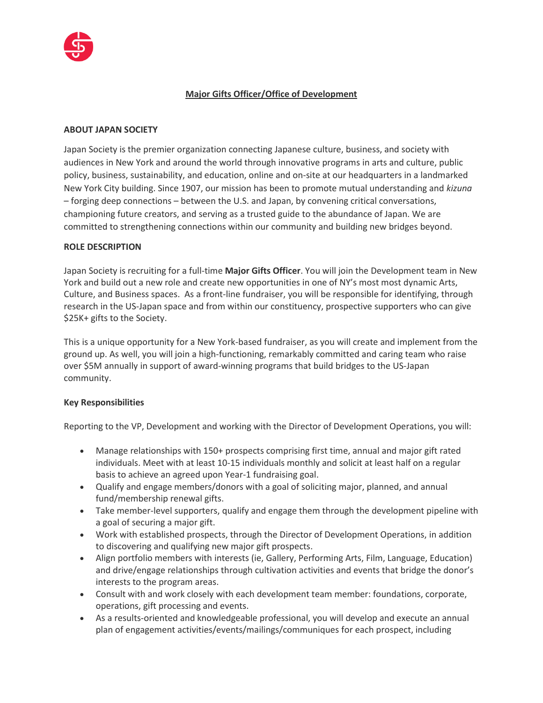

# **Major Gifts Officer/Office of Development**

#### **ABOUT JAPAN SOCIETY**

Japan Society is the premier organization connecting Japanese culture, business, and society with audiences in New York and around the world through innovative programs in arts and culture, public policy, business, sustainability, and education, online and on-site at our headquarters in a landmarked New York City building. Since 1907, our mission has been to promote mutual understanding and *kizuna* – forging deep connections – between the U.S. and Japan, by convening critical conversations, championing future creators, and serving as a trusted guide to the abundance of Japan. We are committed to strengthening connections within our community and building new bridges beyond.

#### **ROLE DESCRIPTION**

Japan Society is recruiting for a full-time **Major Gifts Officer**. You will join the Development team in New York and build out a new role and create new opportunities in one of NY's most most dynamic Arts, Culture, and Business spaces. As a front-line fundraiser, you will be responsible for identifying, through research in the US-Japan space and from within our constituency, prospective supporters who can give \$25K+ gifts to the Society.

This is a unique opportunity for a New York-based fundraiser, as you will create and implement from the ground up. As well, you will join a high-functioning, remarkably committed and caring team who raise over \$5M annually in support of award-winning programs that build bridges to the US-Japan community.

### **Key Responsibilities**

Reporting to the VP, Development and working with the Director of Development Operations, you will:

- Manage relationships with 150+ prospects comprising first time, annual and major gift rated individuals. Meet with at least 10-15 individuals monthly and solicit at least half on a regular basis to achieve an agreed upon Year-1 fundraising goal.
- Qualify and engage members/donors with a goal of soliciting major, planned, and annual fund/membership renewal gifts.
- Take member-level supporters, qualify and engage them through the development pipeline with a goal of securing a major gift.
- Work with established prospects, through the Director of Development Operations, in addition to discovering and qualifying new major gift prospects.
- Align portfolio members with interests (ie, Gallery, Performing Arts, Film, Language, Education) and drive/engage relationships through cultivation activities and events that bridge the donor's interests to the program areas.
- Consult with and work closely with each development team member: foundations, corporate, operations, gift processing and events.
- As a results-oriented and knowledgeable professional, you will develop and execute an annual plan of engagement activities/events/mailings/communiques for each prospect, including